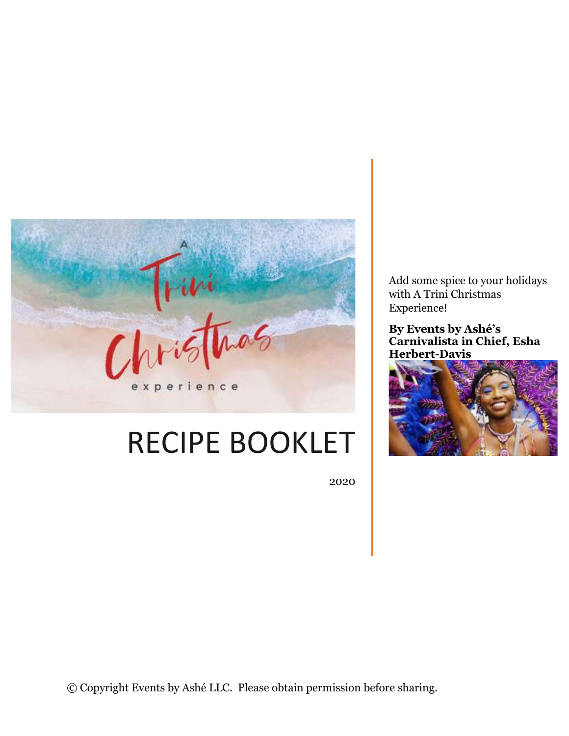

# RECIPE BOOKLET

2020

Add some spice to your holidays with A Trini Christmas Experience!

**By Events by Ashé's Carnivalista in Chief, Esha Herbert-Davis**

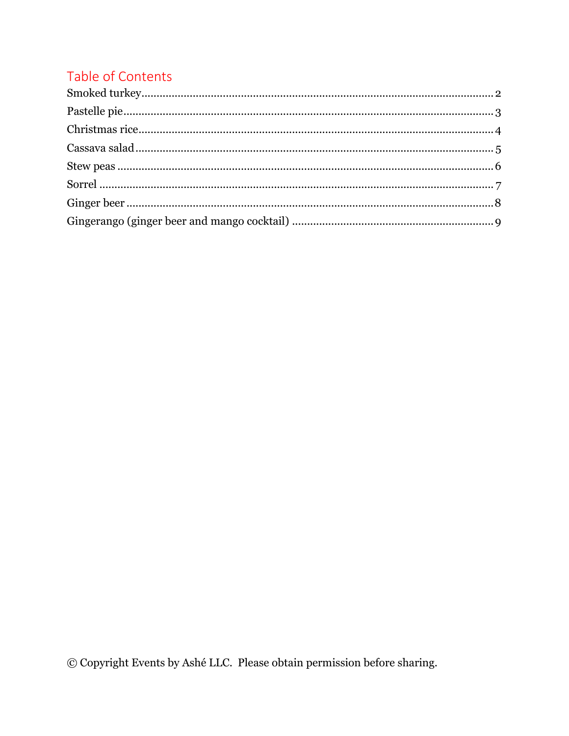# Table of Contents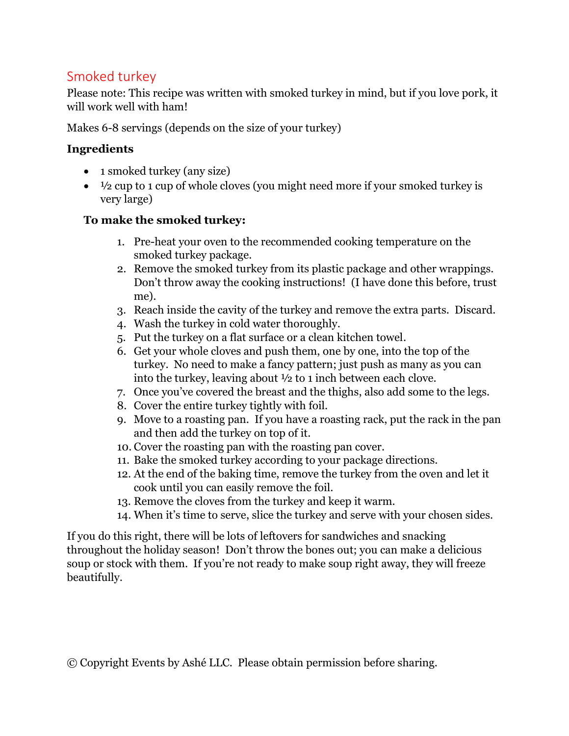# <span id="page-2-0"></span>Smoked turkey

Please note: This recipe was written with smoked turkey in mind, but if you love pork, it will work well with ham!

Makes 6-8 servings (depends on the size of your turkey)

#### **Ingredients**

- 1 smoked turkey (any size)
- $\bullet$   $\frac{1}{2}$  cup to 1 cup of whole cloves (you might need more if your smoked turkey is very large)

#### **To make the smoked turkey:**

- 1. Pre-heat your oven to the recommended cooking temperature on the smoked turkey package.
- 2. Remove the smoked turkey from its plastic package and other wrappings. Don't throw away the cooking instructions! (I have done this before, trust me).
- 3. Reach inside the cavity of the turkey and remove the extra parts. Discard.
- 4. Wash the turkey in cold water thoroughly.
- 5. Put the turkey on a flat surface or a clean kitchen towel.
- 6. Get your whole cloves and push them, one by one, into the top of the turkey. No need to make a fancy pattern; just push as many as you can into the turkey, leaving about ½ to 1 inch between each clove.
- 7. Once you've covered the breast and the thighs, also add some to the legs.
- 8. Cover the entire turkey tightly with foil.
- 9. Move to a roasting pan. If you have a roasting rack, put the rack in the pan and then add the turkey on top of it.
- 10. Cover the roasting pan with the roasting pan cover.
- 11. Bake the smoked turkey according to your package directions.
- 12. At the end of the baking time, remove the turkey from the oven and let it cook until you can easily remove the foil.
- 13. Remove the cloves from the turkey and keep it warm.
- 14. When it's time to serve, slice the turkey and serve with your chosen sides.

If you do this right, there will be lots of leftovers for sandwiches and snacking throughout the holiday season! Don't throw the bones out; you can make a delicious soup or stock with them. If you're not ready to make soup right away, they will freeze beautifully.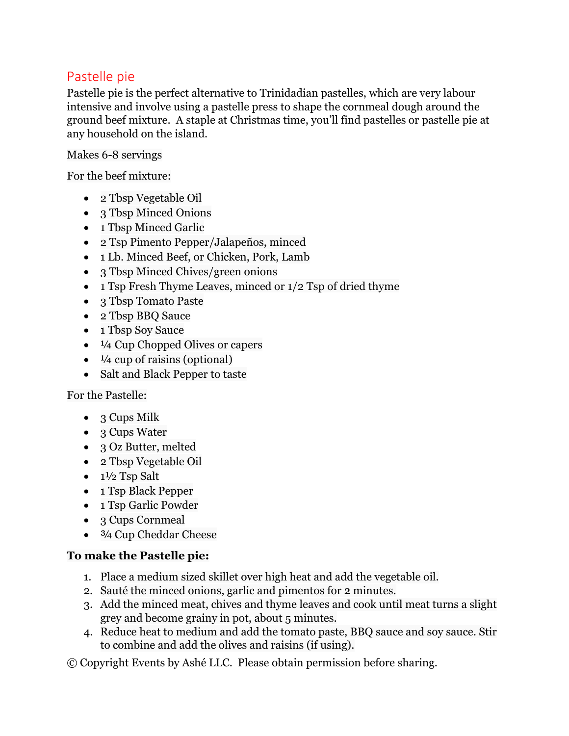# <span id="page-3-0"></span>Pastelle pie

Pastelle pie is the perfect alternative to Trinidadian pastelles, which are very labour intensive and involve using a pastelle press to shape the cornmeal dough around the ground beef mixture. A staple at Christmas time, you'll find pastelles or pastelle pie at any household on the island.

#### Makes 6-8 servings

For the beef mixture:

- 2 Tbsp Vegetable Oil
- 3 Tbsp Minced Onions
- 1 Tbsp Minced Garlic
- 2 Tsp Pimento Pepper/Jalapeños, minced
- 1 Lb. Minced Beef, or Chicken, Pork, Lamb
- 3 Tbsp Minced Chives/green onions
- 1 Tsp Fresh Thyme Leaves, minced or  $1/2$  Tsp of dried thyme
- 3 Tbsp Tomato Paste
- 2 Tbsp BBQ Sauce
- 1 Tbsp Soy Sauce
- <sup>1</sup>/4 Cup Chopped Olives or capers
- $\bullet$   $\frac{1}{4}$  cup of raisins (optional)
- Salt and Black Pepper to taste

#### For the Pastelle:

- $3 \text{ Cups}$  Milk
- 3 Cups Water
- 3 Oz Butter, melted
- 2 Tbsp Vegetable Oil
- $\bullet$  1½ Tsp Salt
- 1 Tsp Black Pepper
- 1 Tsp Garlic Powder
- 3 Cups Cornmeal
- <sup>3/4</sup> Cup Cheddar Cheese

#### **To make the Pastelle pie:**

- 1. Place a medium sized skillet over high heat and add the vegetable oil.
- 2. Sauté the minced onions, garlic and pimentos for 2 minutes.
- 3. Add the minced meat, chives and thyme leaves and cook until meat turns a slight grey and become grainy in pot, about 5 minutes.
- 4. Reduce heat to medium and add the tomato paste, BBQ sauce and soy sauce. Stir to combine and add the olives and raisins (if using).
- © Copyright Events by Ashé LLC. Please obtain permission before sharing.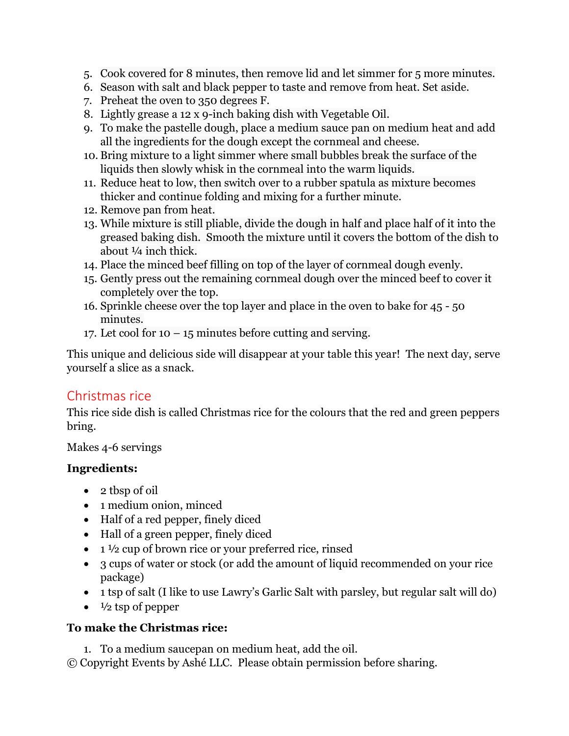- 5. Cook covered for 8 minutes, then remove lid and let simmer for 5 more minutes.
- 6. Season with salt and black pepper to taste and remove from heat. Set aside.
- 7. Preheat the oven to 350 degrees F.
- 8. Lightly grease a 12 x 9-inch baking dish with Vegetable Oil.
- 9. To make the pastelle dough, place a medium sauce pan on medium heat and add all the ingredients for the dough except the cornmeal and cheese.
- 10. Bring mixture to a light simmer where small bubbles break the surface of the liquids then slowly whisk in the cornmeal into the warm liquids.
- 11. Reduce heat to low, then switch over to a rubber spatula as mixture becomes thicker and continue folding and mixing for a further minute.
- 12. Remove pan from heat.
- 13. While mixture is still pliable, divide the dough in half and place half of it into the greased baking dish. Smooth the mixture until it covers the bottom of the dish to about ¼ inch thick.
- 14. Place the minced beef filling on top of the layer of cornmeal dough evenly.
- 15. Gently press out the remaining cornmeal dough over the minced beef to cover it completely over the top.
- 16. Sprinkle cheese over the top layer and place in the oven to bake for 45 50 minutes.
- 17. Let cool for  $10 15$  minutes before cutting and serving.

This unique and delicious side will disappear at your table this year! The next day, serve yourself a slice as a snack.

# <span id="page-4-0"></span>Christmas rice

This rice side dish is called Christmas rice for the colours that the red and green peppers bring.

Makes 4-6 servings

#### **Ingredients:**

- 2 tbsp of oil
- 1 medium onion, minced
- Half of a red pepper, finely diced
- Hall of a green pepper, finely diced
- $\bullet$  1  $\frac{1}{2}$  cup of brown rice or your preferred rice, rinsed
- 3 cups of water or stock (or add the amount of liquid recommended on your rice package)
- 1 tsp of salt (I like to use Lawry's Garlic Salt with parsley, but regular salt will do)
- $\bullet$   $\frac{1}{2}$  tsp of pepper

#### **To make the Christmas rice:**

© Copyright Events by Ashé LLC. Please obtain permission before sharing. 1. To a medium saucepan on medium heat, add the oil.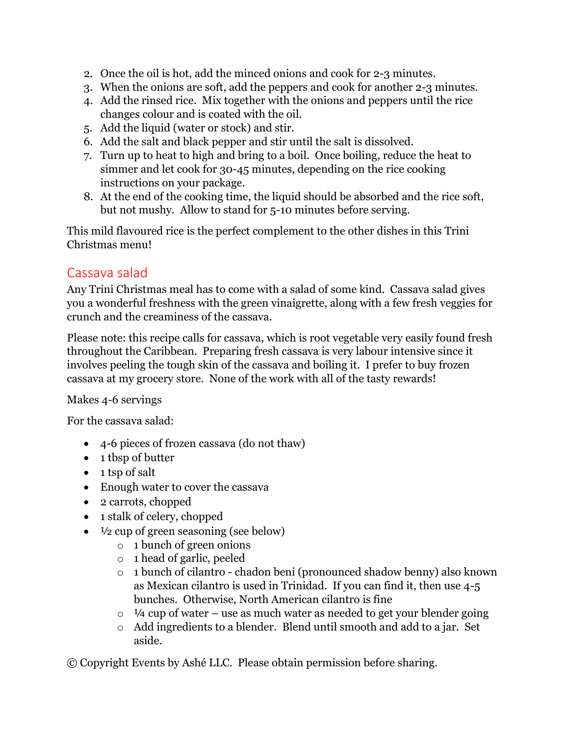- 2. Once the oil is hot, add the minced onions and cook for 2-3 minutes.
- 3. When the onions are soft, add the peppers and cook for another 2-3 minutes.
- 4. Add the rinsed rice. Mix together with the onions and peppers until the rice changes colour and is coated with the oil.
- 5. Add the liquid (water or stock) and stir.
- 6. Add the salt and black pepper and stir until the salt is dissolved.
- 7. Turn up to heat to high and bring to a boil. Once boiling, reduce the heat to simmer and let cook for 30-45 minutes, depending on the rice cooking instructions on your package.
- 8. At the end of the cooking time, the liquid should be absorbed and the rice soft, but not mushy. Allow to stand for 5-10 minutes before serving.

This mild flavoured rice is the perfect complement to the other dishes in this Trini Christmas menu!

# <span id="page-5-0"></span>Cassava salad

Any Trini Christmas meal has to come with a salad of some kind. Cassava salad gives you a wonderful freshness with the green vinaigrette, along with a few fresh veggies for crunch and the creaminess of the cassava.

Please note: this recipe calls for cassava, which is root vegetable very easily found fresh throughout the Caribbean. Preparing fresh cassava is very labour intensive since it involves peeling the tough skin of the cassava and boiling it. I prefer to buy frozen cassava at my grocery store. None of the work with all of the tasty rewards!

Makes 4-6 servings

For the cassava salad:

- 4-6 pieces of frozen cassava (do not thaw)
- 1 tbsp of butter
- 1 tsp of salt
- Enough water to cover the cassava
- 2 carrots, chopped
- 1 stalk of celery, chopped
- $\bullet$   $\frac{1}{2}$  cup of green seasoning (see below)
	- o 1 bunch of green onions
	- o 1 head of garlic, peeled
	- o 1 bunch of cilantro chadon beni (pronounced shadow benny) also known as Mexican cilantro is used in Trinidad. If you can find it, then use 4-5 bunches. Otherwise, North American cilantro is fine
	- $\circ$  1/4 cup of water use as much water as needed to get your blender going
	- o Add ingredients to a blender. Blend until smooth and add to a jar. Set aside.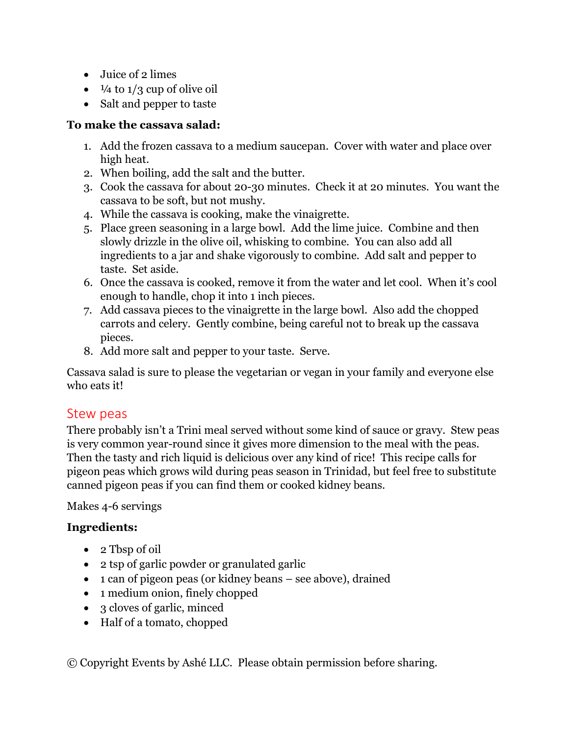- Juice of 2 limes
- $\bullet$   $\frac{1}{4}$  to  $\frac{1}{3}$  cup of olive oil
- Salt and pepper to taste

#### **To make the cassava salad:**

- 1. Add the frozen cassava to a medium saucepan. Cover with water and place over high heat.
- 2. When boiling, add the salt and the butter.
- 3. Cook the cassava for about 20-30 minutes. Check it at 20 minutes. You want the cassava to be soft, but not mushy.
- 4. While the cassava is cooking, make the vinaigrette.
- 5. Place green seasoning in a large bowl. Add the lime juice. Combine and then slowly drizzle in the olive oil, whisking to combine. You can also add all ingredients to a jar and shake vigorously to combine. Add salt and pepper to taste. Set aside.
- 6. Once the cassava is cooked, remove it from the water and let cool. When it's cool enough to handle, chop it into 1 inch pieces.
- 7. Add cassava pieces to the vinaigrette in the large bowl. Also add the chopped carrots and celery. Gently combine, being careful not to break up the cassava pieces.
- 8. Add more salt and pepper to your taste. Serve.

Cassava salad is sure to please the vegetarian or vegan in your family and everyone else who eats it!

# <span id="page-6-0"></span>Stew peas

There probably isn't a Trini meal served without some kind of sauce or gravy. Stew peas is very common year-round since it gives more dimension to the meal with the peas. Then the tasty and rich liquid is delicious over any kind of rice! This recipe calls for pigeon peas which grows wild during peas season in Trinidad, but feel free to substitute canned pigeon peas if you can find them or cooked kidney beans.

Makes 4-6 servings

#### **Ingredients:**

- 2 Tbsp of oil
- 2 tsp of garlic powder or granulated garlic
- 1 can of pigeon peas (or kidney beans see above), drained
- 1 medium onion, finely chopped
- 3 cloves of garlic, minced
- Half of a tomato, chopped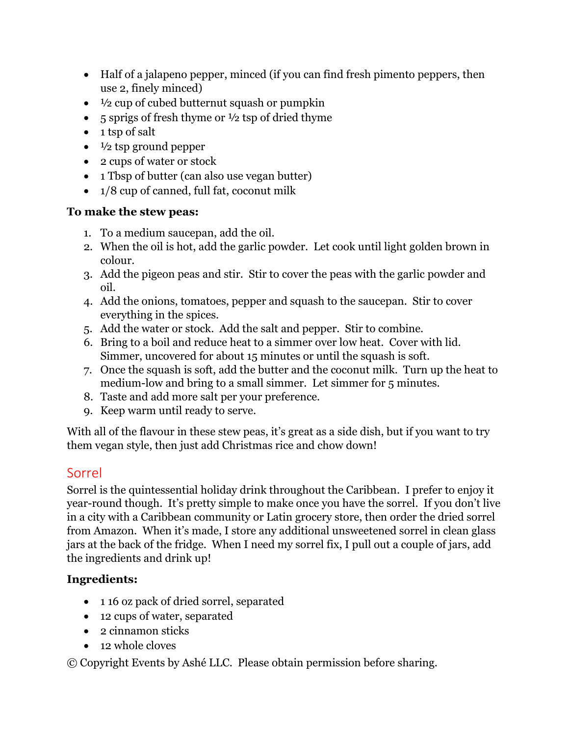- Half of a jalapeno pepper, minced (if you can find fresh pimento peppers, then use 2, finely minced)
- $\bullet$   $\frac{1}{2}$  cup of cubed butternut squash or pumpkin
- 5 sprigs of fresh thyme or  $\frac{1}{2}$  tsp of dried thyme
- 1 tsp of salt
- $\bullet$   $\frac{1}{2}$  tsp ground pepper
- 2 cups of water or stock
- 1 Tbsp of butter (can also use vegan butter)
- 1/8 cup of canned, full fat, coconut milk

#### **To make the stew peas:**

- 1. To a medium saucepan, add the oil.
- 2. When the oil is hot, add the garlic powder. Let cook until light golden brown in colour.
- 3. Add the pigeon peas and stir. Stir to cover the peas with the garlic powder and oil.
- 4. Add the onions, tomatoes, pepper and squash to the saucepan. Stir to cover everything in the spices.
- 5. Add the water or stock. Add the salt and pepper. Stir to combine.
- 6. Bring to a boil and reduce heat to a simmer over low heat. Cover with lid. Simmer, uncovered for about 15 minutes or until the squash is soft.
- 7. Once the squash is soft, add the butter and the coconut milk. Turn up the heat to medium-low and bring to a small simmer. Let simmer for 5 minutes.
- 8. Taste and add more salt per your preference.
- 9. Keep warm until ready to serve.

With all of the flavour in these stew peas, it's great as a side dish, but if you want to try them vegan style, then just add Christmas rice and chow down!

# <span id="page-7-0"></span>Sorrel

Sorrel is the quintessential holiday drink throughout the Caribbean. I prefer to enjoy it year-round though. It's pretty simple to make once you have the sorrel. If you don't live in a city with a Caribbean community or Latin grocery store, then order the dried sorrel from Amazon. When it's made, I store any additional unsweetened sorrel in clean glass jars at the back of the fridge. When I need my sorrel fix, I pull out a couple of jars, add the ingredients and drink up!

# **Ingredients:**

- 1 16 oz pack of dried sorrel, separated
- 12 cups of water, separated
- 2 cinnamon sticks
- 12 whole cloves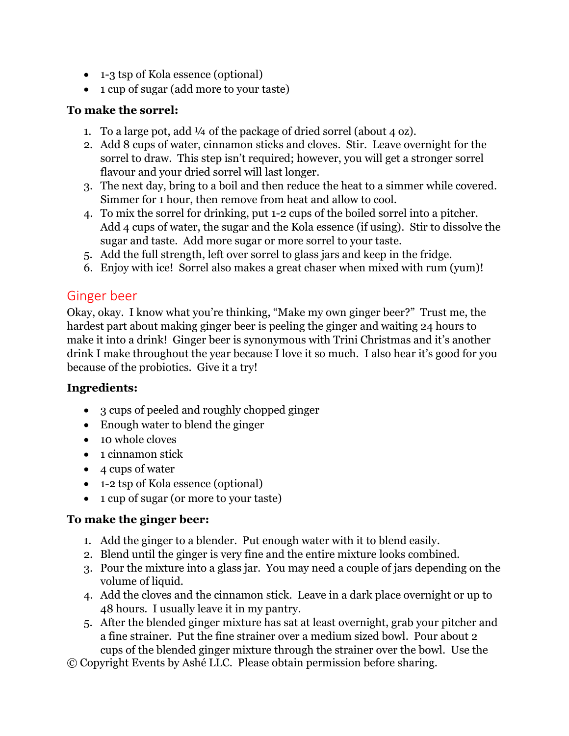- 1-3 tsp of Kola essence (optional)
- 1 cup of sugar (add more to your taste)

#### **To make the sorrel:**

- 1. To a large pot, add  $\frac{1}{4}$  of the package of dried sorrel (about 4 oz).
- 2. Add 8 cups of water, cinnamon sticks and cloves. Stir. Leave overnight for the sorrel to draw. This step isn't required; however, you will get a stronger sorrel flavour and your dried sorrel will last longer.
- 3. The next day, bring to a boil and then reduce the heat to a simmer while covered. Simmer for 1 hour, then remove from heat and allow to cool.
- 4. To mix the sorrel for drinking, put 1-2 cups of the boiled sorrel into a pitcher. Add 4 cups of water, the sugar and the Kola essence (if using). Stir to dissolve the sugar and taste. Add more sugar or more sorrel to your taste.
- 5. Add the full strength, left over sorrel to glass jars and keep in the fridge.
- 6. Enjoy with ice! Sorrel also makes a great chaser when mixed with rum (yum)!

# <span id="page-8-0"></span>Ginger beer

Okay, okay. I know what you're thinking, "Make my own ginger beer?" Trust me, the hardest part about making ginger beer is peeling the ginger and waiting 24 hours to make it into a drink! Ginger beer is synonymous with Trini Christmas and it's another drink I make throughout the year because I love it so much. I also hear it's good for you because of the probiotics. Give it a try!

#### **Ingredients:**

- 3 cups of peeled and roughly chopped ginger
- Enough water to blend the ginger
- 10 whole cloves
- 1 cinnamon stick
- 4 cups of water
- 1-2 tsp of Kola essence (optional)
- 1 cup of sugar (or more to your taste)

# **To make the ginger beer:**

- 1. Add the ginger to a blender. Put enough water with it to blend easily.
- 2. Blend until the ginger is very fine and the entire mixture looks combined.
- 3. Pour the mixture into a glass jar. You may need a couple of jars depending on the volume of liquid.
- 4. Add the cloves and the cinnamon stick. Leave in a dark place overnight or up to 48 hours. I usually leave it in my pantry.
- 5. After the blended ginger mixture has sat at least overnight, grab your pitcher and a fine strainer. Put the fine strainer over a medium sized bowl. Pour about 2 cups of the blended ginger mixture through the strainer over the bowl. Use the